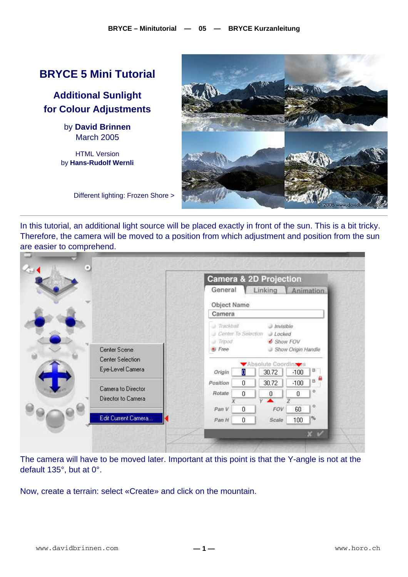## **BRYCE 5 Mini Tutorial**

**Additional Sunlight for Colour Adjustments** 

> by **David Brinnen** March 2005

HTML Version by **Hans-Rudolf Wernli**



Different lighting: Frozen Shore >

In this tutorial, an additional light source will be placed exactly in front of the sun. This is a bit tricky. Therefore, the camera will be moved to a position from which adjustment and position from the sun are easier to comprehend.

|  |                                          | Camera & 2D Projection |    |                               |                    |  |
|--|------------------------------------------|------------------------|----|-------------------------------|--------------------|--|
|  |                                          | General                |    | Linking                       | Animation          |  |
|  |                                          | Object Name            |    |                               |                    |  |
|  |                                          | Camera                 |    |                               |                    |  |
|  |                                          | <b>Trackball</b>       |    | <b>Invisible</b>              |                    |  |
|  |                                          | Center To Selection    |    | $J.$ <i>Locked</i>            |                    |  |
|  | Center Scene                             | - Tripod<br>Free       |    | Show FOV<br>a)                | Show Origin Handle |  |
|  | Center Selection                         |                        |    |                               |                    |  |
|  | Eye-Level Camera                         | Origin                 | D  | Absolute Coordina ca<br>30.72 | B.<br>$-100$       |  |
|  | Camera to Director<br>Director to Camera | Position               | 0  | 30.72                         | B<br>$-100$        |  |
|  |                                          | <b>Rotate</b>          | 0  | $\boldsymbol{0}$              | o<br>0             |  |
|  |                                          |                        |    | v                             | o.                 |  |
|  |                                          | Pan V                  | 0. | FOV                           | 60                 |  |
|  | Edit Current Camera                      | Pan H                  | 0  | Scale                         | 96<br>100          |  |
|  |                                          |                        |    |                               | $x \vee$           |  |

The camera will have to be moved later. Important at this point is that the Y-angle is not at the default 135°, but at 0°.

Now, create a terrain: select «Create» and click on the mountain.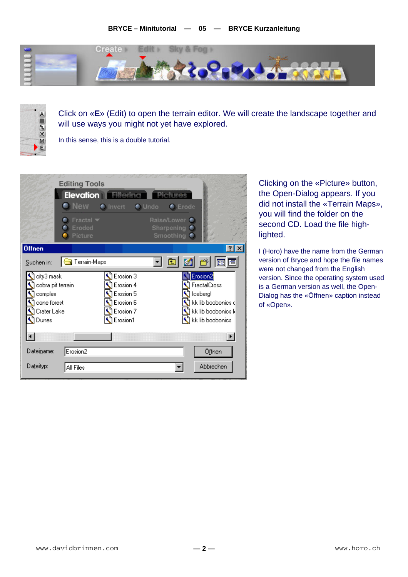



Click on «**E**» (Edit) to open the terrain editor. We will create the landscape together and will use ways you might not yet have explored.

In this sense, this is a double tutorial.



Clicking on the «Picture» button, the Open-Dialog appears. If you did not install the «Terrain Maps», you will find the folder on the second CD. Load the file highlighted.

I (Horo) have the name from the German version of Bryce and hope the file names were not changed from the English version. Since the operating system used is a German version as well, the Open-Dialog has the «Öffnen» caption instead of «Open».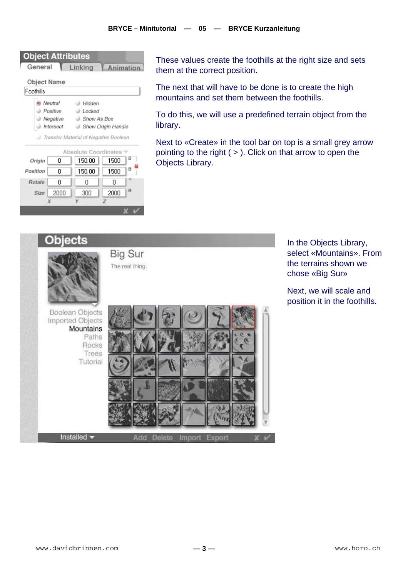| <b>Object Attributes</b><br>General   |           | Linking            |      | Animation |  |  |  |
|---------------------------------------|-----------|--------------------|------|-----------|--|--|--|
| Object Name                           |           |                    |      |           |  |  |  |
| Foothills                             |           |                    |      |           |  |  |  |
|                                       | Neutral   | <b>a</b> Hidden    |      |           |  |  |  |
|                                       | Positive  | Locked             |      |           |  |  |  |
|                                       | Negative  | Show As Box        |      |           |  |  |  |
|                                       | Intersect | Show Origin Handle |      |           |  |  |  |
| Transfer Material of Negative Boolean |           |                    |      |           |  |  |  |
|                                       |           |                    |      |           |  |  |  |
| Absolute Coordinates                  |           |                    |      |           |  |  |  |
| Origin                                | n         | 150.00             | 1500 | В         |  |  |  |
| Position                              | ۵         | 150.00             | 1500 | B         |  |  |  |
| Rotate                                | Ω         | Ο                  | Ω    | o         |  |  |  |
| Size                                  | 2000      | 300                | 2000 | в         |  |  |  |
|                                       | Х         |                    | Z    |           |  |  |  |
|                                       |           |                    |      |           |  |  |  |

These values create the foothills at the right size and sets them at the correct position.

The next that will have to be done is to create the high mountains and set them between the foothills.

To do this, we will use a predefined terrain object from the library.

Next to «Create» in the tool bar on top is a small grey arrow pointing to the right ( > ). Click on that arrow to open the Objects Library.



In the Objects Library, select «Mountains». From the terrains shown we chose «Big Sur»

Next, we will scale and position it in the foothills.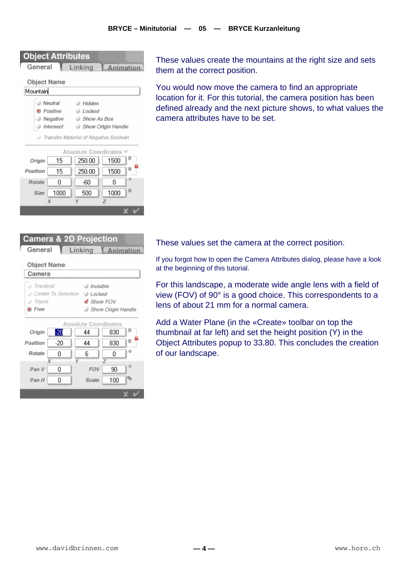| <b>Object Attributes</b><br>General   |           | Linking               | Animation |   |  |  |  |
|---------------------------------------|-----------|-----------------------|-----------|---|--|--|--|
| Object Name                           |           |                       |           |   |  |  |  |
| Mountain                              |           |                       |           |   |  |  |  |
|                                       | Neutral   | Hidden                |           |   |  |  |  |
| Positive                              |           | ⊜ Locked              |           |   |  |  |  |
|                                       | Negative  | <b>B. Show As Box</b> |           |   |  |  |  |
|                                       | Intersect | Show Origin Handle    |           |   |  |  |  |
| Transfer Material of Negative Boolean |           |                       |           |   |  |  |  |
| Absolute Coordinates                  |           |                       |           |   |  |  |  |
| Origin                                | 15        | 250.00                | 1500      |   |  |  |  |
| Position                              | 15        | 250.00                | 1500      | B |  |  |  |
| Rotate                                | ۵         | -60                   | ۵         | o |  |  |  |
| Size                                  | 1000      | 500                   | 1000      | B |  |  |  |
|                                       | X         |                       | Z         |   |  |  |  |
|                                       |           |                       |           |   |  |  |  |

These values create the mountains at the right size and sets them at the correct position.

You would now move the camera to find an appropriate location for it. For this tutorial, the camera position has been defined already and the next picture shows, to what values the camera attributes have to be set.



These values set the camera at the correct position.

If you forgot how to open the Camera Attributes dialog, please have a look at the beginning of this tutorial.

For this landscape, a moderate wide angle lens with a field of view (FOV) of 90° is a good choice. This correspondents to a lens of about 21 mm for a normal camera.

Add a Water Plane (in the «Create» toolbar on top the thumbnail at far left) and set the height position (Y) in the Object Attributes popup to 33.80. This concludes the creation of our landscape.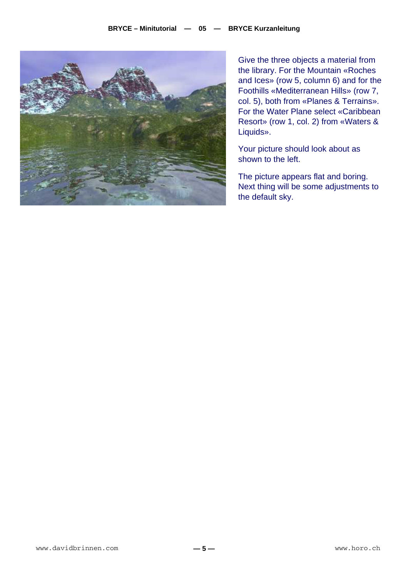

Give the three objects a material from the library. For the Mountain «Roches and Ices» (row 5, column 6) and for the Foothills «Mediterranean Hills» (row 7, col. 5), both from «Planes & Terrains». For the Water Plane select «Caribbean Resort» (row 1, col. 2) from «Waters & Liquids».

Your picture should look about as shown to the left.

The picture appears flat and boring. Next thing will be some adjustments to the default sky.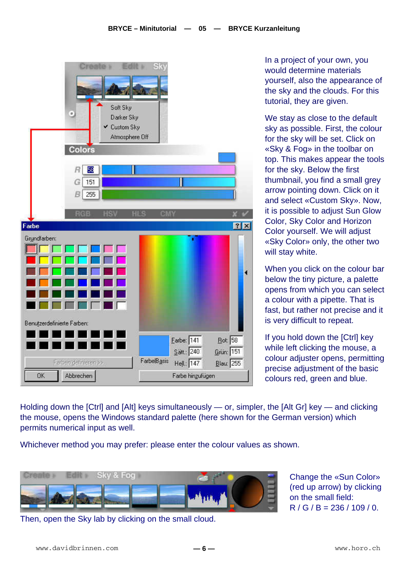|              | Ξ<br>Colors                    | Soft Sky<br>Darker Sky<br>✔ Custom Sky<br>Atmosphere Off | 13                      |                  |                       |
|--------------|--------------------------------|----------------------------------------------------------|-------------------------|------------------|-----------------------|
|              | 噩<br>R<br>G<br>151<br>B<br>255 |                                                          |                         |                  |                       |
| Farbe        | <b>PIGE</b>                    | HLS<br>HSV.                                              | CMY                     |                  | 7x                    |
| Grundfarben: |                                |                                                          |                         |                  |                       |
|              | Benutzerdefinierte Farben:     |                                                          |                         |                  |                       |
|              |                                |                                                          | Earbe: 141<br>Sätt: 240 |                  | $Bot$ 58<br>Grün: 151 |
|              | Farben definieren >>           |                                                          | FarbelBasis             | Hell.: 147       | $Blue$ 255            |
| OK           | Abbrechen                      |                                                          |                         | Farbe hingufügen |                       |

In a project of your own, you would determine materials yourself, also the appearance of the sky and the clouds. For this tutorial, they are given.

We stay as close to the default sky as possible. First, the colour for the sky will be set. Click on «Sky & Fog» in the toolbar on top. This makes appear the tools for the sky. Below the first thumbnail, you find a small grey arrow pointing down. Click on it and select «Custom Sky». Now, it is possible to adjust Sun Glow Color, Sky Color and Horizon Color yourself. We will adjust «Sky Color» only, the other two will stay white.

When you click on the colour bar below the tiny picture, a palette opens from which you can select a colour with a pipette. That is fast, but rather not precise and it is very difficult to repeat.

If you hold down the [Ctrl] key while left clicking the mouse, a colour adjuster opens, permitting precise adjustment of the basic colours red, green and blue.

Holding down the [Ctrl] and [Alt] keys simultaneously — or, simpler, the [Alt Gr] key — and clicking the mouse, opens the Windows standard palette (here shown for the German version) which permits numerical input as well.

Whichever method you may prefer: please enter the colour values as shown.



Then, open the Sky lab by clicking on the small cloud.

Change the «Sun Color» (red up arrow) by clicking on the small field:  $R / G / B = 236 / 109 / 0.$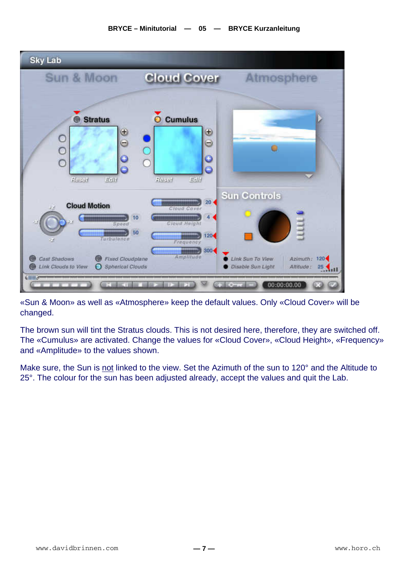

«Sun & Moon» as well as «Atmosphere» keep the default values. Only «Cloud Cover» will be changed.

The brown sun will tint the Stratus clouds. This is not desired here, therefore, they are switched off. The «Cumulus» are activated. Change the values for «Cloud Cover», «Cloud Height», «Frequency» and «Amplitude» to the values shown.

Make sure, the Sun is not linked to the view. Set the Azimuth of the sun to 120° and the Altitude to 25°. The colour for the sun has been adjusted already, accept the values and quit the Lab.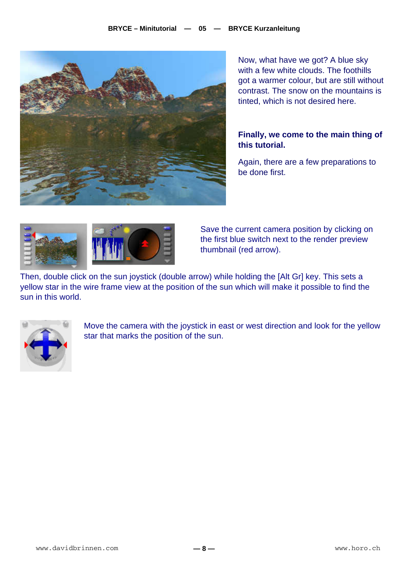

Now, what have we got? A blue sky with a few white clouds. The foothills got a warmer colour, but are still without contrast. The snow on the mountains is tinted, which is not desired here.

## **Finally, we come to the main thing of this tutorial.**

Again, there are a few preparations to be done first.



Save the current camera position by clicking on the first blue switch next to the render preview thumbnail (red arrow).

Then, double click on the sun joystick (double arrow) while holding the [Alt Gr] key. This sets a yellow star in the wire frame view at the position of the sun which will make it possible to find the sun in this world.



Move the camera with the joystick in east or west direction and look for the yellow star that marks the position of the sun.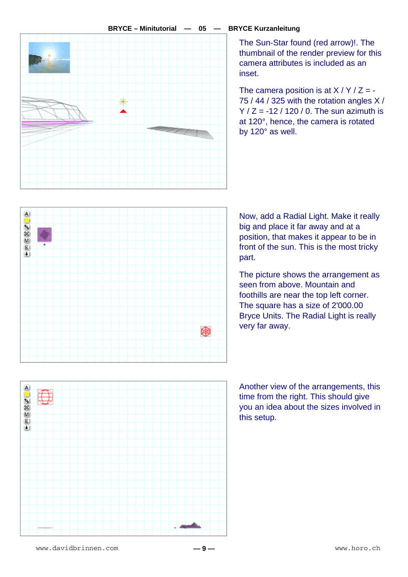

## **BRYCE – Minitutorial — 05 — BRYCE Kurzanleitung**

The Sun-Star found (red arrow)!. The thumbnail of the render preview for this camera attributes is included as an inset.

The camera position is at  $X/Y/Z = -$ 75 / 44 / 325 with the rotation angles X /  $Y / Z = -12 / 120 / 0$ . The sun azimuth is at 120°, hence, the camera is rotated by 120° as well.



Now, add a Radial Light. Make it really big and place it far away and at a position, that makes it appear to be in front of the sun. This is the most tricky part.

The picture shows the arrangement as seen from above. Mountain and foothills are near the top left corner. The square has a size of 2'000.00 Bryce Units. The Radial Light is really very far away.

Another view of the arrangements, this time from the right. This should give you an idea about the sizes involved in this setup.

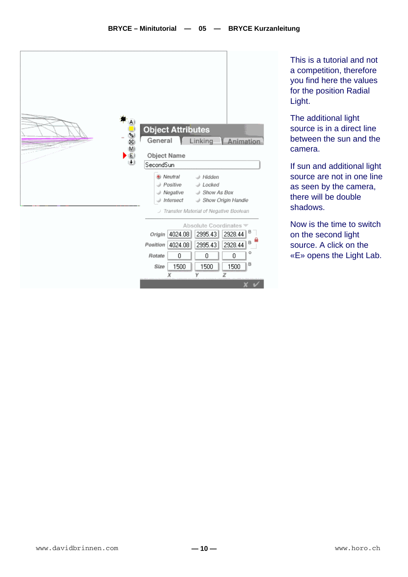

This is a tutorial and not a competition, therefore you find here the values for the position Radial Light.

The additional light source is in a direct line between the sun and the camera.

If sun and additional light source are not in one line as seen by the camera, there will be double shadows.

Now is the time to switch on the second light source. A click on the «E» opens the Light Lab.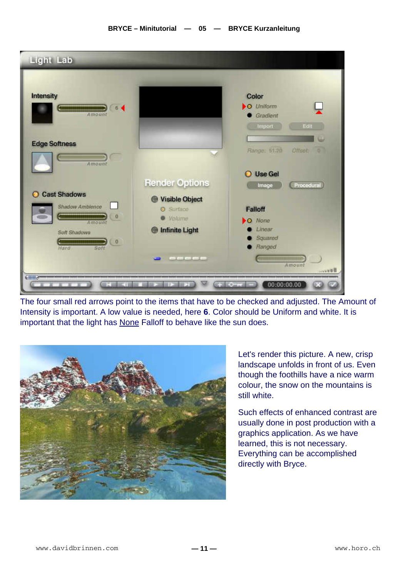

The four small red arrows point to the items that have to be checked and adjusted. The Amount of Intensity is important. A low value is needed, here **6**. Color should be Uniform and white. It is important that the light has None Falloff to behave like the sun does.



Let's render this picture. A new, crisp landscape unfolds in front of us. Even though the foothills have a nice warm colour, the snow on the mountains is still white.

Such effects of enhanced contrast are usually done in post production with a graphics application. As we have learned, this is not necessary. Everything can be accomplished directly with Bryce.